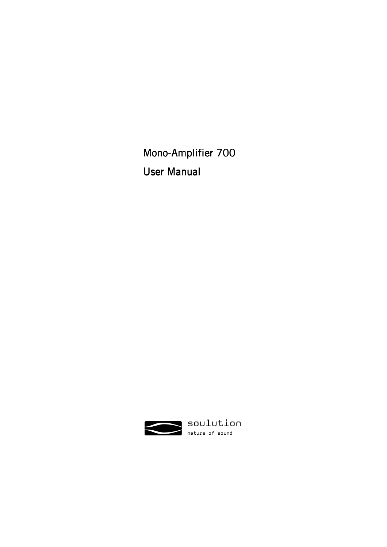Mono-Amplifier 700 User Manual

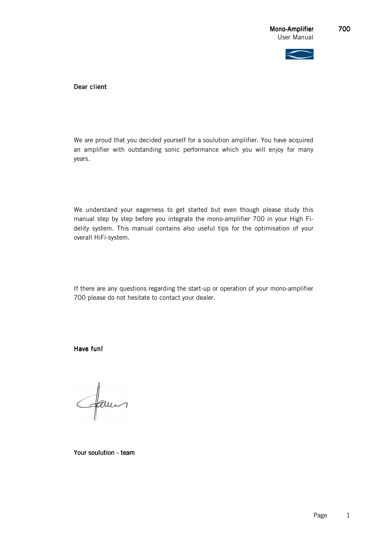

Dear client

We are proud that you decided yourself for a soulution amplifier. You have acquired an amplifier with outstanding sonic performance which you will enjoy for many years.

We understand your eagerness to get started but even though please study this manual step by step before you integrate the mono-amplifier 700 in your High Fidelity system. This manual contains also useful tips for the optimisation of your overall HiFi-system.

If there are any questions regarding the start-up or operation of your mono-amplifier 700 please do not hesitate to contact your dealer.

Have fun!

famos

Your soulution - team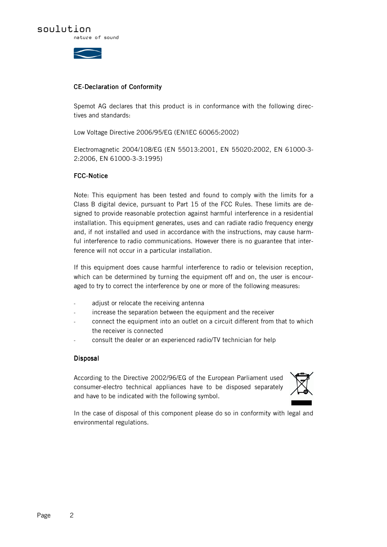



# CE-Declaration of Conformity

Spemot AG declares that this product is in conformance with the following directives and standards:

Low Voltage Directive 2006/95/EG (EN/IEC 60065:2002)

Electromagnetic 2004/108/EG (EN 55013:2001, EN 55020:2002, EN 61000-3- 2:2006, EN 61000-3-3:1995)

# FCC-Notice

Note: This equipment has been tested and found to comply with the limits for a Class B digital device, pursuant to Part 15 of the FCC Rules. These limits are designed to provide reasonable protection against harmful interference in a residential installation. This equipment generates, uses and can radiate radio frequency energy and, if not installed and used in accordance with the instructions, may cause harmful interference to radio communications. However there is no guarantee that interference will not occur in a particular installation.

If this equipment does cause harmful interference to radio or television reception, which can be determined by turning the equipment off and on, the user is encouraged to try to correct the interference by one or more of the following measures:

- adjust or relocate the receiving antenna
- increase the separation between the equipment and the receiver
- connect the equipment into an outlet on a circuit different from that to which the receiver is connected
- consult the dealer or an experienced radio/TV technician for help

### Disposal

According to the Directive 2002/96/EG of the European Parliament used consumer-electro technical appliances have to be disposed separately and have to be indicated with the following symbol.



In the case of disposal of this component please do so in conformity with legal and environmental regulations.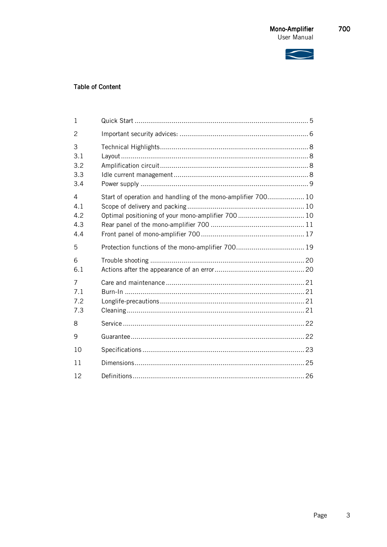

# **Table of Content**

| $\mathbf{1}$                  |                                                              |  |
|-------------------------------|--------------------------------------------------------------|--|
| 2                             |                                                              |  |
| 3<br>3.1<br>3.2<br>3.3<br>3.4 |                                                              |  |
| 4<br>4.1<br>4.2<br>4.3<br>4.4 | Start of operation and handling of the mono-amplifier 700 10 |  |
| 5                             |                                                              |  |
| 6<br>6.1                      |                                                              |  |
| 7<br>7.1<br>7.2<br>7.3        |                                                              |  |
| 8                             |                                                              |  |
| 9                             |                                                              |  |
| 10                            |                                                              |  |
| 11                            |                                                              |  |
| 12                            |                                                              |  |

Page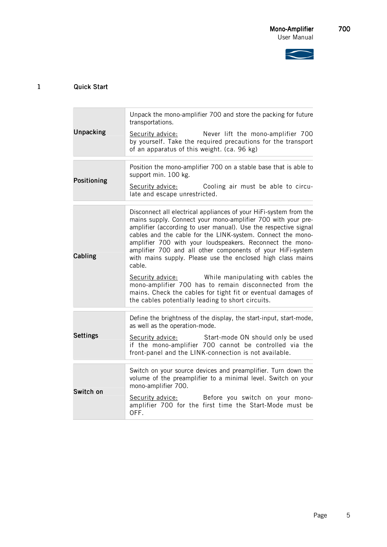

# 1 Quick Start

| Unpacking       | Unpack the mono-amplifier 700 and store the packing for future<br>transportations.<br>Never lift the mono-amplifier 700<br>Security advice:<br>by yourself. Take the required precautions for the transport<br>of an apparatus of this weight. (ca. 96 kg)                                                                                                                                                                                                                                                                                                                                                                                                                                                    |  |
|-----------------|---------------------------------------------------------------------------------------------------------------------------------------------------------------------------------------------------------------------------------------------------------------------------------------------------------------------------------------------------------------------------------------------------------------------------------------------------------------------------------------------------------------------------------------------------------------------------------------------------------------------------------------------------------------------------------------------------------------|--|
| Positioning     | Position the mono-amplifier 700 on a stable base that is able to<br>support min. 100 kg.<br>Security advice: Cooling air must be able to circu-<br>late and escape unrestricted.                                                                                                                                                                                                                                                                                                                                                                                                                                                                                                                              |  |
| Cabling         | Disconnect all electrical appliances of your HiFi-system from the<br>mains supply. Connect your mono-amplifier 700 with your pre-<br>amplifier (according to user manual). Use the respective signal<br>cables and the cable for the LINK-system. Connect the mono-<br>amplifier 700 with your loudspeakers. Reconnect the mono-<br>amplifier 700 and all other components of your HiFi-system<br>with mains supply. Please use the enclosed high class mains<br>cable.<br>Security advice: While manipulating with cables the<br>mono-amplifier 700 has to remain disconnected from the<br>mains. Check the cables for tight fit or eventual damages of<br>the cables potentially leading to short circuits. |  |
| <b>Settings</b> | Define the brightness of the display, the start-input, start-mode,<br>as well as the operation-mode.<br>Security advice: Start-mode ON should only be used<br>if the mono-amplifier 700 cannot be controlled via the<br>front-panel and the LINK-connection is not available.                                                                                                                                                                                                                                                                                                                                                                                                                                 |  |
| Switch on       | Switch on your source devices and preamplifier. Turn down the<br>volume of the preamplifier to a minimal level. Switch on your<br>mono-amplifier 700.<br>Before you switch on your mono-<br>Security advice:<br>amplifier 700 for the first time the Start-Mode must be<br>OFF.                                                                                                                                                                                                                                                                                                                                                                                                                               |  |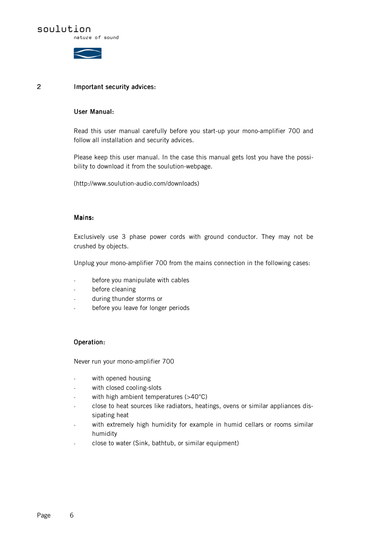nature of sound



### 2 Important security advices: Important security

### User Manual: User Manual:

Read this user manual carefully before you start-up your mono-amplifier 700 and follow all installation and security advices.

Please keep this user manual. In the case this manual gets lost you have the possibility to download it from the soulution-webpage.

(http://www.soulution-audio.com/downloads)

### Mains:

Exclusively use 3 phase power cords with ground conductor. They may not be crushed by objects.

Unplug your mono-amplifier 700 from the mains connection in the following cases:

- before you manipulate with cables
- before cleaning
- during thunder storms or
- before you leave for longer periods

### Operation:

Never run your mono-amplifier 700

- with opened housing
- with closed cooling-slots
- with high ambient temperatures  $(>40^{\circ}C)$
- close to heat sources like radiators, heatings, ovens or similar appliances dissipating heat
- with extremely high humidity for example in humid cellars or rooms similar humidity
- close to water (Sink, bathtub, or similar equipment)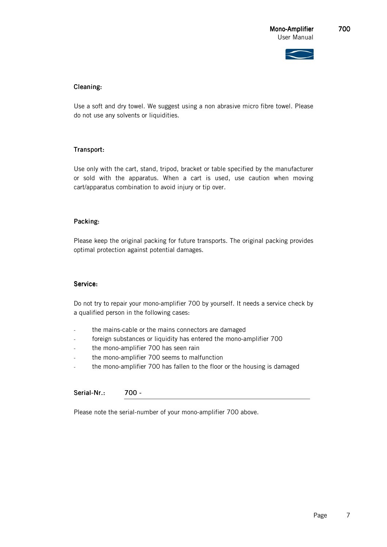

# Cleaning: Cleaning:

Use a soft and dry towel. We suggest using a non abrasive micro fibre towel. Please do not use any solvents or liquidities.

# Transport: Transport:

Use only with the cart, stand, tripod, bracket or table specified by the manufacturer or sold with the apparatus. When a cart is used, use caution when moving cart/apparatus combination to avoid injury or tip over.

### Packing:

Please keep the original packing for future transports. The original packing provides optimal protection against potential damages.

#### Service:

Do not try to repair your mono-amplifier 700 by yourself. It needs a service check by a qualified person in the following cases:

- the mains-cable or the mains connectors are damaged
- foreign substances or liquidity has entered the mono-amplifier 700
- the mono-amplifier 700 has seen rain
- the mono-amplifier 700 seems to malfunction
- the mono-amplifier 700 has fallen to the floor or the housing is damaged

## Serial-Nr.: 700 -

Please note the serial-number of your mono-amplifier 700 above.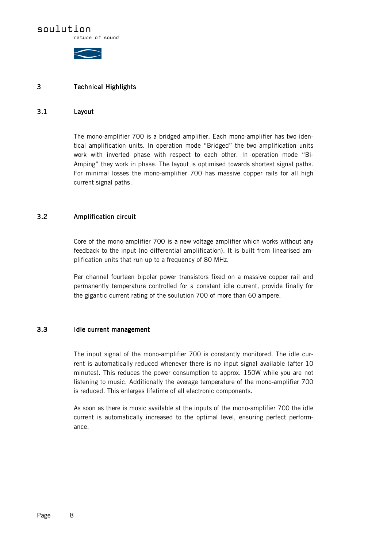# soulution

nature of sound



### 3 Technical Highlights

### 3.1 Layout

The mono-amplifier 700 is a bridged amplifier. Each mono-amplifier has two identical amplification units. In operation mode "Bridged" the two amplification units work with inverted phase with respect to each other. In operation mode "Bi-Amping" they work in phase. The layout is optimised towards shortest signal paths. For minimal losses the mono-amplifier 700 has massive copper rails for all high current signal paths.

# 3.2 Amplification circuit Amplification circuit

Core of the mono-amplifier 700 is a new voltage amplifier which works without any feedback to the input (no differential amplification). It is built from linearised amplification units that run up to a frequency of 80 MHz.

Per channel fourteen bipolar power transistors fixed on a massive copper rail and permanently temperature controlled for a constant idle current, provide finally for the gigantic current rating of the soulution 700 of more than 60 ampere.

### 3.3 Idle current management

The input signal of the mono-amplifier 700 is constantly monitored. The idle current is automatically reduced whenever there is no input signal available (after 10 minutes). This reduces the power consumption to approx. 150W while you are not listening to music. Additionally the average temperature of the mono-amplifier 700 is reduced. This enlarges lifetime of all electronic components.

As soon as there is music available at the inputs of the mono-amplifier 700 the idle current is automatically increased to the optimal level, ensuring perfect performance.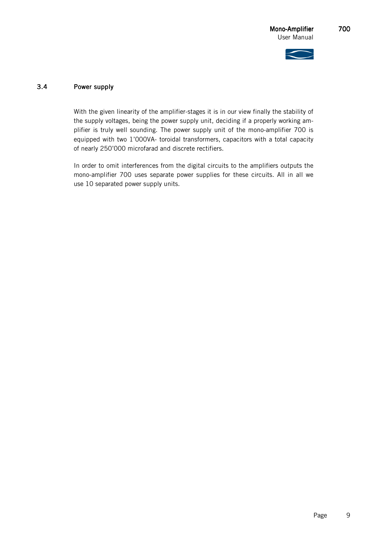

### 3.4 Power supply Power supply

With the given linearity of the amplifier-stages it is in our view finally the stability of the supply voltages, being the power supply unit, deciding if a properly working amplifier is truly well sounding. The power supply unit of the mono-amplifier 700 is equipped with two 1'000VA- toroidal transformers, capacitors with a total capacity of nearly 250'000 microfarad and discrete rectifiers.

In order to omit interferences from the digital circuits to the amplifiers outputs the mono-amplifier 700 uses separate power supplies for these circuits. All in all we use 10 separated power supply units.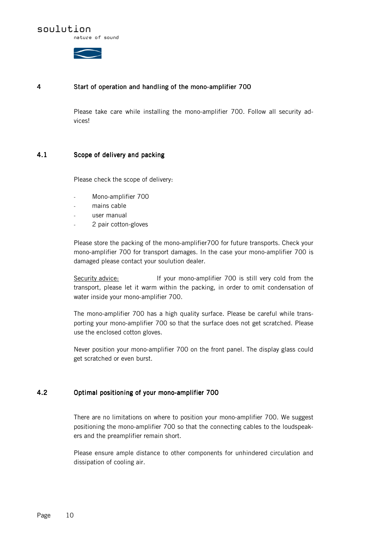nature of sound

### 4 Start of operation and handling of the mono-amplifier 700

Please take care while installing the mono-amplifier 700. Follow all security advices!

### 4.1 Scope of delivery and packing

Please check the scope of delivery:

- Mono-amplifier 700
- mains cable
- user manual
- 2 pair cotton-gloves

Please store the packing of the mono-amplifier700 for future transports. Check your mono-amplifier 700 for transport damages. In the case your mono-amplifier 700 is damaged please contact your soulution dealer.

Security advice: If your mono-amplifier 700 is still very cold from the transport, please let it warm within the packing, in order to omit condensation of water inside your mono-amplifier 700.

The mono-amplifier 700 has a high quality surface. Please be careful while transporting your mono-amplifier 700 so that the surface does not get scratched. Please use the enclosed cotton gloves.

Never position your mono-amplifier 700 on the front panel. The display glass could get scratched or even burst.

### 4.2 Optimal positioning of your mono-amplifier 700

There are no limitations on where to position your mono-amplifier 700. We suggest positioning the mono-amplifier 700 so that the connecting cables to the loudspeakers and the preamplifier remain short.

Please ensure ample distance to other components for unhindered circulation and dissipation of cooling air.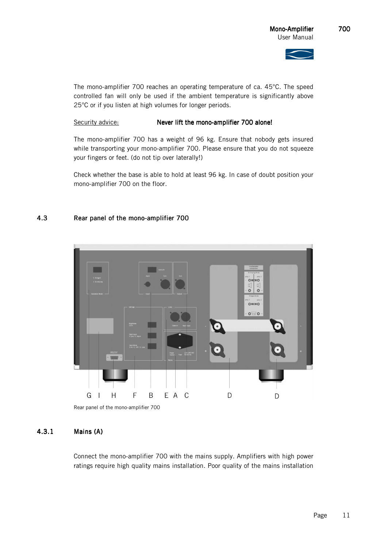

The mono-amplifier 700 reaches an operating temperature of ca. 45°C. The speed controlled fan will only be used if the ambient temperature is significantly above 25°C or if you listen at high volumes for longer periods.

### Security advice: Never lift the mono-amplifier 700 alone!

The mono-amplifier 700 has a weight of 96 kg. Ensure that nobody gets insured while transporting your mono-amplifier 700. Please ensure that you do not squeeze your fingers or feet. (do not tip over laterally!)

Check whether the base is able to hold at least 96 kg. In case of doubt position your mono-amplifier 700 on the floor.

# 4.3 Rear panel of the mono-amplifier 700



Rear panel of the mono-amplifier 700

# 4.3.1 Mains (A) Mains (A)

Connect the mono-amplifier 700 with the mains supply. Amplifiers with high power ratings require high quality mains installation. Poor quality of the mains installation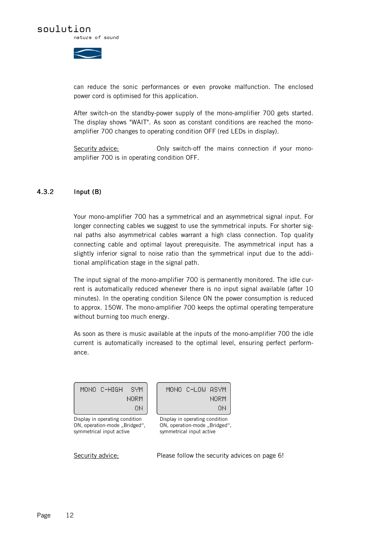

can reduce the sonic performances or even provoke malfunction. The enclosed power cord is optimised for this application.

After switch-on the standby-power supply of the mono-amplifier 700 gets started. The display shows "WAIT". As soon as constant conditions are reached the monoamplifier 700 changes to operating condition OFF (red LEDs in display).

Security advice: **Only switch-off the mains connection if your mono**amplifier 700 is in operating condition OFF.

### 4.3.2 Input (B)

Your mono-amplifier 700 has a symmetrical and an asymmetrical signal input. For longer connecting cables we suggest to use the symmetrical inputs. For shorter signal paths also asymmetrical cables warrant a high class connection. Top quality connecting cable and optimal layout prerequisite. The asymmetrical input has a slightly inferior signal to noise ratio than the symmetrical input due to the additional amplification stage in the signal path.

The input signal of the mono-amplifier 700 is permanently monitored. The idle current is automatically reduced whenever there is no input signal available (after 10 minutes). In the operating condition Silence ON the power consumption is reduced to approx. 150W. The mono-amplifier 700 keeps the optimal operating temperature without burning too much energy.

As soon as there is music available at the inputs of the mono-amplifier 700 the idle current is automatically increased to the optimal level, ensuring perfect performance.

| MONO C-HIGH | - SYM     |
|-------------|-----------|
|             | MEM       |
|             | <b>TH</b> |

Display in operating condition ON, operation-mode "Bridged", symmetrical input active

MONO C-LOW ASYM **NORM** ON.

Display in operating condition ON, operation-mode ..Bridged", symmetrical input active

Security advice: Please follow the security advices on page 6!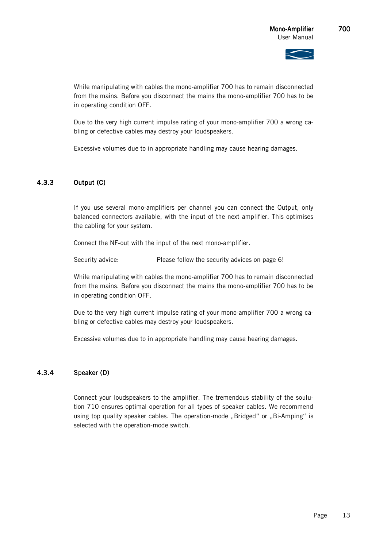While manipulating with cables the mono-amplifier 700 has to remain disconnected from the mains. Before you disconnect the mains the mono-amplifier 700 has to be in operating condition OFF.

Due to the very high current impulse rating of your mono-amplifier 700 a wrong cabling or defective cables may destroy your loudspeakers.

Excessive volumes due to in appropriate handling may cause hearing damages.

# 4.3.3 Output (C)

If you use several mono-amplifiers per channel you can connect the Output, only balanced connectors available, with the input of the next amplifier. This optimises the cabling for your system.

Connect the NF-out with the input of the next mono-amplifier.

Security advice: Please follow the security advices on page 6!

While manipulating with cables the mono-amplifier 700 has to remain disconnected from the mains. Before you disconnect the mains the mono-amplifier 700 has to be in operating condition OFF.

Due to the very high current impulse rating of your mono-amplifier 700 a wrong cabling or defective cables may destroy your loudspeakers.

Excessive volumes due to in appropriate handling may cause hearing damages.

### 4.3.4 Speaker (D)

Connect your loudspeakers to the amplifier. The tremendous stability of the soulution 710 ensures optimal operation for all types of speaker cables. We recommend using top quality speaker cables. The operation-mode "Bridged" or "Bi-Amping" is selected with the operation-mode switch.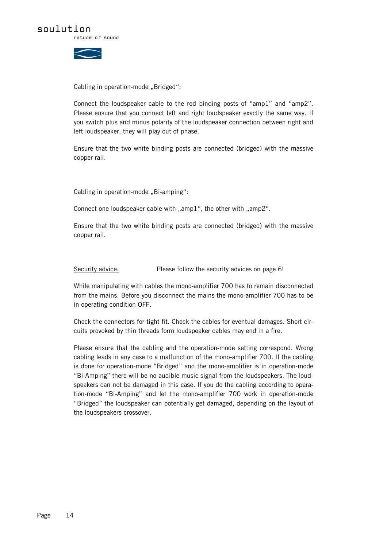



### Cabling in operation-mode, Bridged":

Connect the loudspeaker cable to the red binding posts of "amp1" and "amp2". Please ensure that you connect left and right loudspeaker exactly the same way. If you switch plus and minus polarity of the loudspeaker connection between right and left loudspeaker, they will play out of phase.

Ensure that the two white binding posts are connected (bridged) with the massive copper rail.

Cabling in operation-mode "Bi-amping":

Connect one loudspeaker cable with "amp1", the other with "amp2".

Ensure that the two white binding posts are connected (bridged) with the massive copper rail.

Security advice: Please follow the security advices on page 6!

While manipulating with cables the mono-amplifier 700 has to remain disconnected from the mains. Before you disconnect the mains the mono-amplifier 700 has to be in operating condition OFF.

Check the connectors for tight fit. Check the cables for eventual damages. Short circuits provoked by thin threads form loudspeaker cables may end in a fire.

Please ensure that the cabling and the operation-mode setting correspond. Wrong cabling leads in any case to a malfunction of the mono-amplifier 700. If the cabling is done for operation-mode "Bridged" and the mono-amplifier is in operation-mode "Bi-Amping" there will be no audible music signal from the loudspeakers. The loudspeakers can not be damaged in this case. If you do the cabling according to operation-mode "Bi-Amping" and let the mono-amplifier 700 work in operation-mode "Bridged" the loudspeaker can potentially get damaged, depending on the layout of the loudspeakers crossover.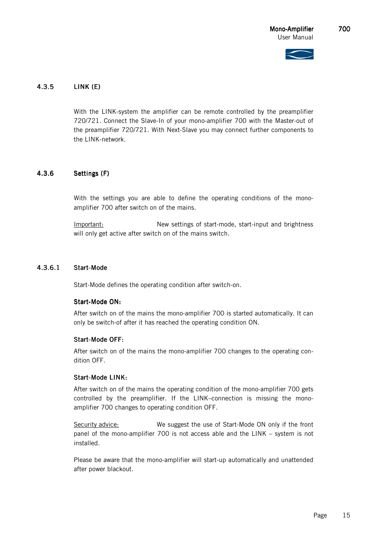

# 4.3.5 LINK (E) LINK (E)

With the LINK-system the amplifier can be remote controlled by the preamplifier 720/721. Connect the Slave-In of your mono-amplifier 700 with the Master-out of the preamplifier 720/721. With Next-Slave you may connect further components to the LINK-network.

### 4.3.6 Settings (F)

With the settings you are able to define the operating conditions of the monoamplifier 700 after switch on of the mains.

Important: New settings of start-mode, start-input and brightness will only get active after switch on of the mains switch.

# 4.3.6.1 Start-Mode

Start-Mode defines the operating condition after switch-on.

### Start-Mode ON:

After switch on of the mains the mono-amplifier 700 is started automatically. It can only be switch-of after it has reached the operating condition ON.

#### Start-Mode OFF:

After switch on of the mains the mono-amplifier 700 changes to the operating condition OFF.

#### Start-Mode LINK:

After switch on of the mains the operating condition of the mono-amplifier 700 gets controlled by the preamplifier. If the LINK–connection is missing the monoamplifier 700 changes to operating condition OFF.

Security advice: We suggest the use of Start-Mode ON only if the front panel of the mono-amplifier 700 is not access able and the LINK – system is not installed.

Please be aware that the mono-amplifier will start-up automatically and unattended after power blackout.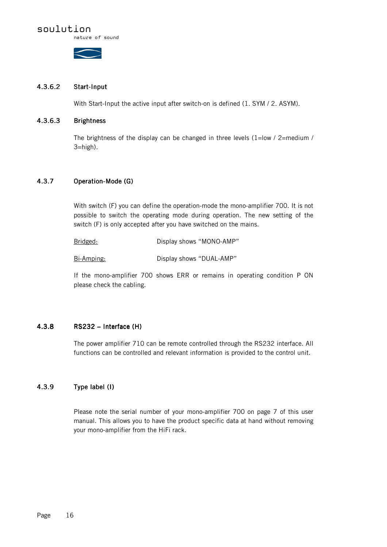# soulution

nature of sound



### 4.3.6.2 Start-Input

With Start-Input the active input after switch-on is defined (1. SYM / 2. ASYM).

### 4.3.6.3 Brightness

The brightness of the display can be changed in three levels (1=low / 2=medium / 3=high).

# 4.3.7 Operation-Mode (G)

With switch (F) you can define the operation-mode the mono-amplifier 700. It is not possible to switch the operating mode during operation. The new setting of the switch (F) is only accepted after you have switched on the mains.

Bridged: Display shows "MONO-AMP"

Bi-Amping: Display shows "DUAL-AMP"

If the mono-amplifier 700 shows ERR or remains in operating condition P ON please check the cabling.

## 4.3.8 RS232 – RS232 – Interface (H) Interface (H)

The power amplifier 710 can be remote controlled through the RS232 interface. All functions can be controlled and relevant information is provided to the control unit.

### 4.3.9 Type label (I)

Please note the serial number of your mono-amplifier 700 on page 7 of this user manual. This allows you to have the product specific data at hand without removing your mono-amplifier from the HiFi rack.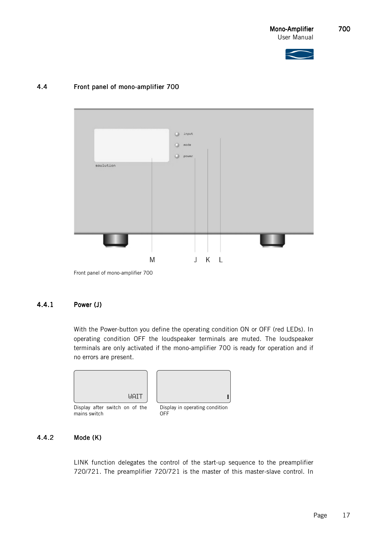



# 4.4 Front panel of mono-amplifier 700



Front panel of mono-amplifier 700

### 4.4.1 Power (J)

With the Power-button you define the operating condition ON or OFF (red LEDs). In operating condition OFF the loudspeaker terminals are muted. The loudspeaker terminals are only activated if the mono-amplifier 700 is ready for operation and if no errors are present.



### 4.4.2 Mode (K)

LINK function delegates the control of the start-up sequence to the preamplifier 720/721. The preamplifier 720/721 is the master of this master-slave control. In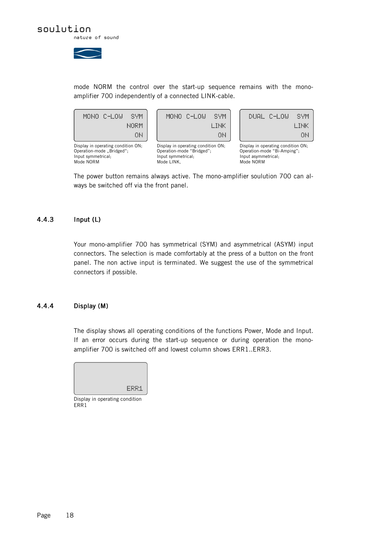

mode NORM the control over the start-up sequence remains with the monoamplifier 700 independently of a connected LINK-cable.



The power button remains always active. The mono-amplifier soulution 700 can always be switched off via the front panel.

## 4.4.3 Input (L)

Your mono-amplifier 700 has symmetrical (SYM) and asymmetrical (ASYM) input connectors. The selection is made comfortably at the press of a button on the front panel. The non active input is terminated. We suggest the use of the symmetrical connectors if possible.

### 4.4.4 Display (M)

The display shows all operating conditions of the functions Power, Mode and Input. If an error occurs during the start-up sequence or during operation the monoamplifier 700 is switched off and lowest column shows ERR1..ERR3.



Display in operating condition ERR<sub>1</sub>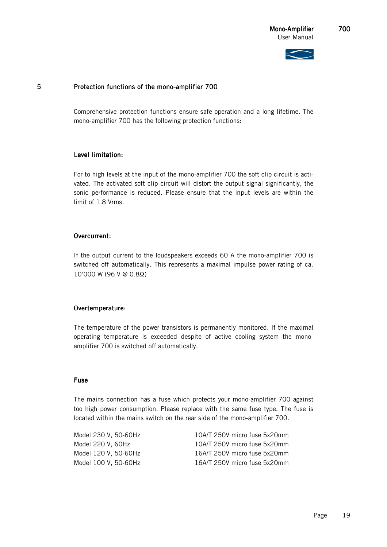### 5 Protection functions of the mono-amplifier 700

Comprehensive protection functions ensure safe operation and a long lifetime. The mono-amplifier 700 has the following protection functions:

### Level limitation:

For to high levels at the input of the mono-amplifier 700 the soft clip circuit is activated. The activated soft clip circuit will distort the output signal significantly, the sonic performance is reduced. Please ensure that the input levels are within the limit of 1.8 Vrms.

### Overcurrent:

If the output current to the loudspeakers exceeds 60 A the mono-amplifier 700 is switched off automatically. This represents a maximal impulse power rating of ca. 10'000 W (96 V @ 0.8Ω)

### Overtemperature:

The temperature of the power transistors is permanently monitored. If the maximal operating temperature is exceeded despite of active cooling system the monoamplifier 700 is switched off automatically.

### Fuse

The mains connection has a fuse which protects your mono-amplifier 700 against too high power consumption. Please replace with the same fuse type. The fuse is located within the mains switch on the rear side of the mono-amplifier 700.

Model 230 V, 50-60Hz 10A/T 250V micro fuse 5x20mm Model 220 V, 60Hz 10A/T 250V micro fuse 5x20mm Model 120 V, 50-60Hz 16A/T 250V micro fuse 5x20mm Model 100 V, 50-60Hz 16A/T 250V micro fuse 5x20mm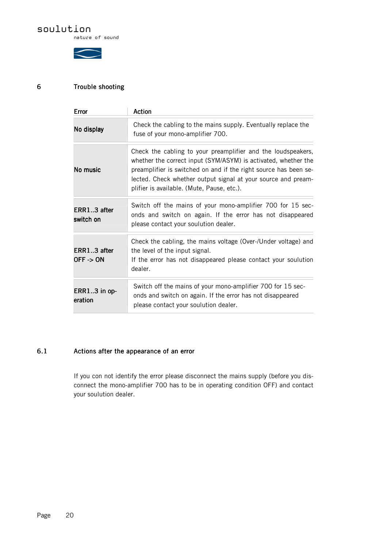# soulution

nature of sound



# 6 Trouble shooting Trouble

| Error                      | Action                                                                                                                                                                                                                                                                                                            |  |  |
|----------------------------|-------------------------------------------------------------------------------------------------------------------------------------------------------------------------------------------------------------------------------------------------------------------------------------------------------------------|--|--|
| No display                 | Check the cabling to the mains supply. Eventually replace the<br>fuse of your mono-amplifier 700.                                                                                                                                                                                                                 |  |  |
| No music                   | Check the cabling to your preamplifier and the loudspeakers,<br>whether the correct input (SYM/ASYM) is activated, whether the<br>preamplifier is switched on and if the right source has been se-<br>lected. Check whether output signal at your source and pream-<br>plifier is available. (Mute, Pause, etc.). |  |  |
| ERR13 after<br>switch on   | Switch off the mains of your mono-amplifier 700 for 15 sec-<br>onds and switch on again. If the error has not disappeared<br>please contact your soulution dealer.                                                                                                                                                |  |  |
| ERR13 after<br>$OFF -> ON$ | Check the cabling, the mains voltage (Over-/Under voltage) and<br>the level of the input signal.<br>If the error has not disappeared please contact your soulution<br>dealer.                                                                                                                                     |  |  |
| $ERR13$ in op-<br>eration  | Switch off the mains of your mono-amplifier 700 for 15 sec-<br>onds and switch on again. If the error has not disappeared<br>please contact your soulution dealer.                                                                                                                                                |  |  |

# 6.1 Actions after the appearance of an error

If you con not identify the error please disconnect the mains supply (before you disconnect the mono-amplifier 700 has to be in operating condition OFF) and contact your soulution dealer.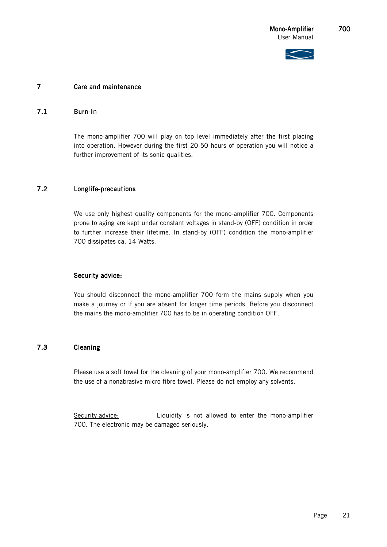

### 7 Care and maintenance

### 7.1 Burn-In

The mono-amplifier 700 will play on top level immediately after the first placing into operation. However during the first 20-50 hours of operation you will notice a further improvement of its sonic qualities.

# 7.2 Longlife-precautions

We use only highest quality components for the mono-amplifier 700. Components prone to aging are kept under constant voltages in stand-by (OFF) condition in order to further increase their lifetime. In stand-by (OFF) condition the mono-amplifier 700 dissipates ca. 14 Watts.

### Security advice:

You should disconnect the mono-amplifier 700 form the mains supply when you make a journey or if you are absent for longer time periods. Before you disconnect the mains the mono-amplifier 700 has to be in operating condition OFF.

# 7.3 Cleaning Cleaning

Please use a soft towel for the cleaning of your mono-amplifier 700. We recommend the use of a nonabrasive micro fibre towel. Please do not employ any solvents.

Security advice: Liquidity is not allowed to enter the mono-amplifier 700. The electronic may be damaged seriously.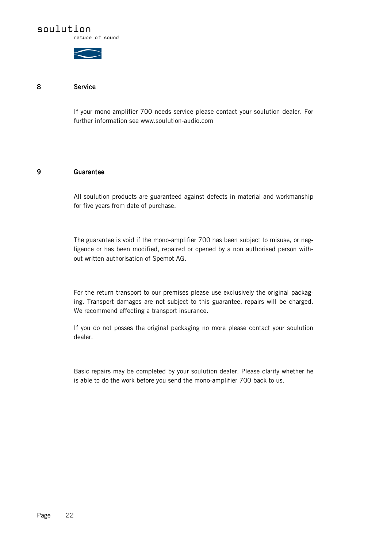

nature of sound



### 8 Service Service

If your mono-amplifier 700 needs service please contact your soulution dealer. For further information see www.soulution-audio.com

### 9 Guarantee Guarantee

All soulution products are guaranteed against defects in material and workmanship for five years from date of purchase.

The guarantee is void if the mono-amplifier 700 has been subject to misuse, or negligence or has been modified, repaired or opened by a non authorised person without written authorisation of Spemot AG.

For the return transport to our premises please use exclusively the original packaging. Transport damages are not subject to this guarantee, repairs will be charged. We recommend effecting a transport insurance.

If you do not posses the original packaging no more please contact your soulution dealer.

Basic repairs may be completed by your soulution dealer. Please clarify whether he is able to do the work before you send the mono-amplifier 700 back to us.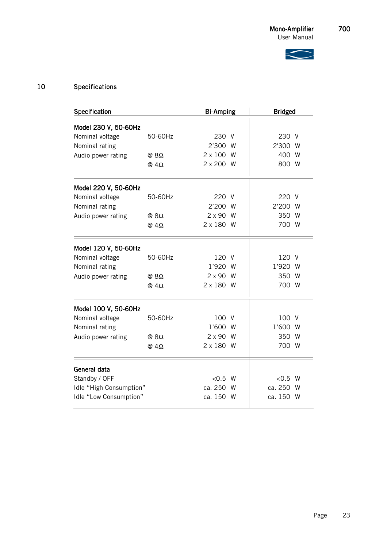

# 10 Specifications

| Specification           | <b>Bi-Amping</b> |                 | <b>Bridged</b> |           |     |
|-------------------------|------------------|-----------------|----------------|-----------|-----|
| Model 230 V, 50-60Hz    |                  |                 |                |           |     |
| Nominal voltage         | 50-60Hz          | 230 V           |                | 230 V     |     |
| Nominal rating          |                  | 2'300 W         |                | 2'300 W   |     |
| Audio power rating      | @ $8\Omega$      | 2 x 100 W       |                | 400 W     |     |
|                         | @ $4\Omega$      | 2 x 200 W       |                | 800 W     |     |
| Model 220 V, 50-60Hz    |                  |                 |                |           |     |
| Nominal voltage         | 50-60Hz          | 220 V           |                | 220 V     |     |
| Nominal rating          |                  | 2'200 W         |                | 2'200 W   |     |
| Audio power rating      | @ 8Ω             | $2 \times 90$ W |                | 350 W     |     |
|                         | @ $4\Omega$      | 2 x 180 W       |                | 700 W     |     |
| Model 120 V, 50-60Hz    |                  |                 |                |           |     |
| Nominal voltage         | 50-60Hz          | 120 V           |                | 120 V     |     |
| Nominal rating          |                  | 1'920 W         |                | 1'920 W   |     |
| Audio power rating      | @ $8\Omega$      | 2 x 90 W        |                | 350 W     |     |
|                         | @ $4\Omega$      | 2 x 180 W       |                | 700 W     |     |
| Model 100 V, 50-60Hz    |                  |                 |                |           |     |
| Nominal voltage         | 50-60Hz          | 100 V           |                | 100 V     |     |
| Nominal rating          |                  | 1'600 W         |                | 1'600 W   |     |
| Audio power rating      | @ $8\Omega$      | 2 x 90 W        |                | 350 W     |     |
|                         | @ $4\Omega$      | 2 x 180 W       |                | 700 W     |     |
| General data            |                  |                 |                |           |     |
| Standby / OFF           |                  | < 0.5 W         |                | < 0.5 W   |     |
| Idle "High Consumption" |                  | ca. 250         | W              | ca. 250   | - W |
| Idle "Low Consumption"  |                  | ca. 150 W       |                | ca. 150 W |     |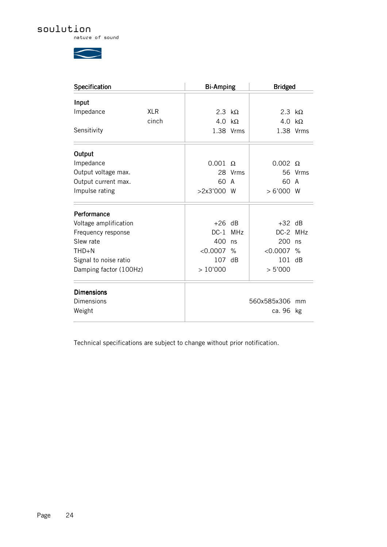# soulution

nature of sound

 $\bigg\langle$ 

| Specification          |            | <b>Bi-Amping</b> |            | <b>Bridged</b> |           |
|------------------------|------------|------------------|------------|----------------|-----------|
| Input                  |            |                  |            |                |           |
| Impedance              | <b>XLR</b> | 2.3 $k\Omega$    |            | 2.3 $k\Omega$  |           |
|                        | cinch      | 4.0              | k $\Omega$ | 4.0            | $k\Omega$ |
| Sensitivity            |            |                  | 1.38 Vrms  |                | 1.38 Vrms |
| Output                 |            |                  |            |                |           |
| Impedance              |            | 0.001            | $\Omega$   | $0.002 \Omega$ |           |
| Output voltage max.    |            |                  | 28 Vrms    |                | 56 Vrms   |
| Output current max.    |            | 60               | A          | 60             | A         |
| Impulse rating         |            | >2x3'000         | - W        | >6'000         | W         |
| Performance            |            |                  |            |                |           |
| Voltage amplification  |            | $+26$ dB         |            | $+32$ dB       |           |
| Frequency response     |            | $DC-1$           | <b>MHz</b> | DC-2 MHz       |           |
| Slew rate              |            | 400              | ns         | 200            | ns        |
| $THD + N$              |            | < 0.0007         | $\%$       | < 0.0007       | %         |
| Signal to noise ratio  |            | 107              | dB         | 101            | dB        |
| Damping factor (100Hz) |            | >10'000          |            | > 5'000        |           |
| <b>Dimensions</b>      |            |                  |            |                |           |
| Dimensions             |            |                  |            | 560x585x306    | mm        |
| Weight                 |            |                  |            | ca. 96         | kg        |

Technical specifications are subject to change without prior notification.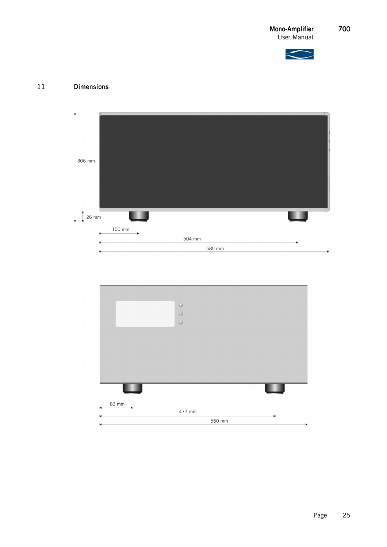



# 11 Dimensions Dimensions



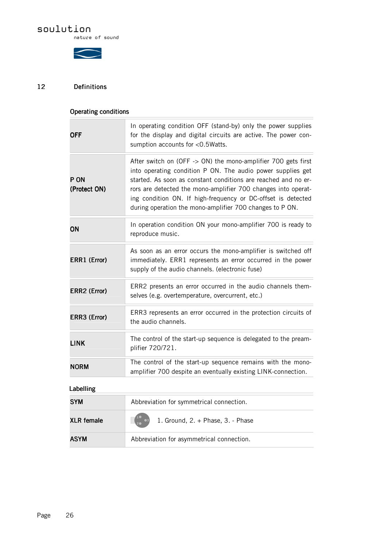# soulution

nature of sound



# 12 Definitions Definitions

| Operating conditions                                                                                                                                                               |                                                                                                                                                                                                                                                                                                                                                                                             |  |  |  |
|------------------------------------------------------------------------------------------------------------------------------------------------------------------------------------|---------------------------------------------------------------------------------------------------------------------------------------------------------------------------------------------------------------------------------------------------------------------------------------------------------------------------------------------------------------------------------------------|--|--|--|
| In operating condition OFF (stand-by) only the power supplies<br>for the display and digital circuits are active. The power con-<br><b>OFF</b><br>sumption accounts for <0.5Watts. |                                                                                                                                                                                                                                                                                                                                                                                             |  |  |  |
| P ON<br>(Protect ON)                                                                                                                                                               | After switch on (OFF -> ON) the mono-amplifier 700 gets first<br>into operating condition P ON. The audio power supplies get<br>started. As soon as constant conditions are reached and no er-<br>rors are detected the mono-amplifier 700 changes into operat-<br>ing condition ON. If high-frequency or DC-offset is detected<br>during operation the mono-amplifier 700 changes to P ON. |  |  |  |
| ON                                                                                                                                                                                 | In operation condition ON your mono-amplifier 700 is ready to<br>reproduce music.                                                                                                                                                                                                                                                                                                           |  |  |  |
| ERR1 (Error)                                                                                                                                                                       | As soon as an error occurs the mono-amplifier is switched off<br>immediately. ERR1 represents an error occurred in the power<br>supply of the audio channels. (electronic fuse)                                                                                                                                                                                                             |  |  |  |
| ERR2 (Error)                                                                                                                                                                       | ERR2 presents an error occurred in the audio channels them-<br>selves (e.g. overtemperature, overcurrent, etc.)                                                                                                                                                                                                                                                                             |  |  |  |
| ERR3 (Error)                                                                                                                                                                       | ERR3 represents an error occurred in the protection circuits of<br>the audio channels.                                                                                                                                                                                                                                                                                                      |  |  |  |
| <b>LINK</b>                                                                                                                                                                        | The control of the start-up sequence is delegated to the pream-<br>plifier 720/721.                                                                                                                                                                                                                                                                                                         |  |  |  |
| <b>NORM</b>                                                                                                                                                                        | The control of the start-up sequence remains with the mono-<br>amplifier 700 despite an eventually existing LINK-connection.                                                                                                                                                                                                                                                                |  |  |  |
| Labelling                                                                                                                                                                          |                                                                                                                                                                                                                                                                                                                                                                                             |  |  |  |
| <b>SYM</b>                                                                                                                                                                         | Abbreviation for symmetrical connection.                                                                                                                                                                                                                                                                                                                                                    |  |  |  |
| <b>XLR</b> female                                                                                                                                                                  | 1. Ground, 2. + Phase, 3. - Phase                                                                                                                                                                                                                                                                                                                                                           |  |  |  |
| <b>ASYM</b>                                                                                                                                                                        | Abbreviation for asymmetrical connection.                                                                                                                                                                                                                                                                                                                                                   |  |  |  |